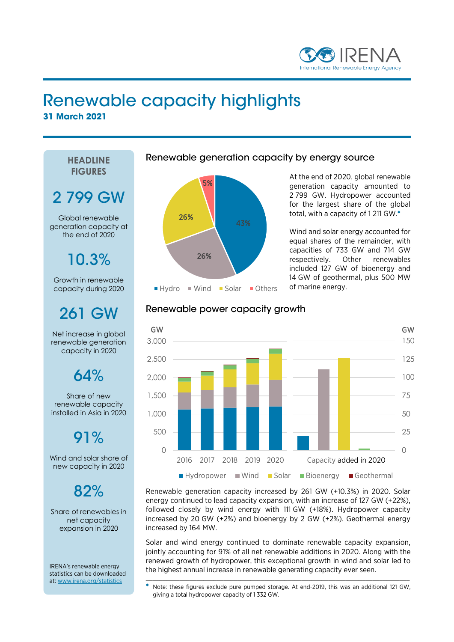

### Renewable capacity highlights **31 March 2021**

**HEADLINE FIGURES**

# 2 799 GW

Global renewable generation capacity at the end of 2020

## 10.3%

Growth in renewable capacity during 2020

## 261 GW

Net increase in global renewable generation capacity in 2020

### $64%$

Share of new renewable capacity installed in Asia in 2020

### 91%

Wind and solar share of new capacity in 2020

### $82%$

Share of renewables in net capacity expansion in 2020

IRENA's renewable energy statistics can be downloaded at: [www.irena.org/statistics](http://www.irena.org/statistics)

#### Renewable generation capacity by energy source



At the end of 2020, global renewable generation capacity amounted to 2 799 GW. Hydropower accounted for the largest share of the global total, with a capacity of 1 211 GW.\*

Wind and solar energy accounted for equal shares of the remainder, with capacities of 733 GW and 714 GW respectively. Other renewables included 127 GW of bioenergy and 14 GW of geothermal, plus 500 MW of marine energy.

#### Renewable power capacity growth



Renewable generation capacity increased by 261 GW (+10.3%) in 2020. Solar energy continued to lead capacity expansion, with an increase of 127 GW (+22%), followed closely by wind energy with 111 GW (+18%). Hydropower capacity increased by 20 GW (+2%) and bioenergy by 2 GW (+2%). Geothermal energy increased by 164 MW.

Solar and wind energy continued to dominate renewable capacity expansion, jointly accounting for 91% of all net renewable additions in 2020. Along with the renewed growth of hydropower, this exceptional growth in wind and solar led to the highest annual increase in renewable generating capacity ever seen.

\_\_\_\_\_\_\_\_\_\_\_\_\_\_\_\_\_\_\_\_\_\_\_\_\_\_\_\_\_\_\_\_\_\_\_\_\_\_\_\_\_\_\_\_\_\_\_\_\_\_\_\_\_\_\_\_\_\_\_\_\_\_\_\_\_\_\_\_\_\_\_\_\_\_\_\_\_\_ \* Note: these figures exclude pure pumped storage. At end-2019, this was an additional 121 GW, giving a total hydropower capacity of 1 332 GW.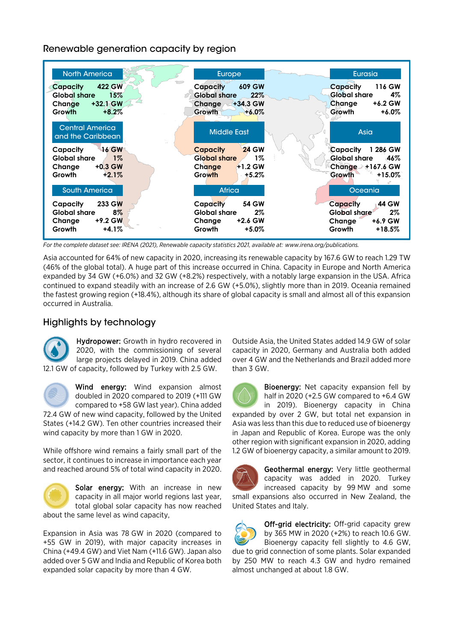Renewable generation capacity by region



*For the complete dataset see: IRENA (2021), Renewable capacity statistics 2021, available at: [www.irena.org/publications.](file://uaeauhsva01-irena/KMTC/IRENA%20Papers/2016%20Capacity%20yearbook/2016%20Version/www.irena.org/publications)*

Asia accounted for 64% of new capacity in 2020, increasing its renewable capacity by 167.6 GW to reach 1.29 TW (46% of the global total). A huge part of this increase occurred in China. Capacity in Europe and North America expanded by 34 GW (+6.0%) and 32 GW (+8.2%) respectively, with a notably large expansion in the USA. Africa continued to expand steadily with an increase of 2.6 GW (+5.0%), slightly more than in 2019. Oceania remained the fastest growing region (+18.4%), although its share of global capacity is small and almost all of this expansion occurred in Australia.

#### Highlights by technology

Hydropower: Growth in hydro recovered in 2020, with the commissioning of several large projects delayed in 2019. China added 12.1 GW of capacity, followed by Turkey with 2.5 GW.



Wind energy: Wind expansion almost doubled in 2020 compared to 2019 (+111 GW compared to +58 GW last year). China added

72.4 GW of new wind capacity, followed by the United States (+14.2 GW). Ten other countries increased their wind capacity by more than 1 GW in 2020.

While offshore wind remains a fairly small part of the sector, it continues to increase in importance each year and reached around 5% of total wind capacity in 2020.



Solar energy: With an increase in new capacity in all major world regions last year, total global solar capacity has now reached about the same level as wind capacity,

Expansion in Asia was 78 GW in 2020 (compared to +55 GW in 2019), with major capacity increases in China (+49.4 GW) and Viet Nam (+11.6 GW). Japan also added over 5 GW and India and Republic of Korea both expanded solar capacity by more than 4 GW.

Outside Asia, the United States added 14.9 GW of solar capacity in 2020, Germany and Australia both added over 4 GW and the Netherlands and Brazil added more than 3 GW.

J

Bioenergy: Net capacity expansion fell by half in 2020 (+2.5 GW compared to +6.4 GW in 2019). Bioenergy capacity in China expanded by over 2 GW, but total net expansion in Asia was less than this due to reduced use of bioenergy in Japan and Republic of Korea. Europe was the only other region with significant expansion in 2020, adding 1.2 GW of bioenergy capacity, a similar amount to 2019.



Geothermal energy: Very little geothermal capacity was added in 2020. Turkey increased capacity by 99 MW and some small expansions also occurred in New Zealand, the United States and Italy.



Off-grid electricity: Off-grid capacity grew by 365 MW in 2020 (+2%) to reach 10.6 GW. Bioenergy capacity fell slightly to 4.6 GW, due to grid connection of some plants. Solar expanded by 250 MW to reach 4.3 GW and hydro remained

almost unchanged at about 1.8 GW.